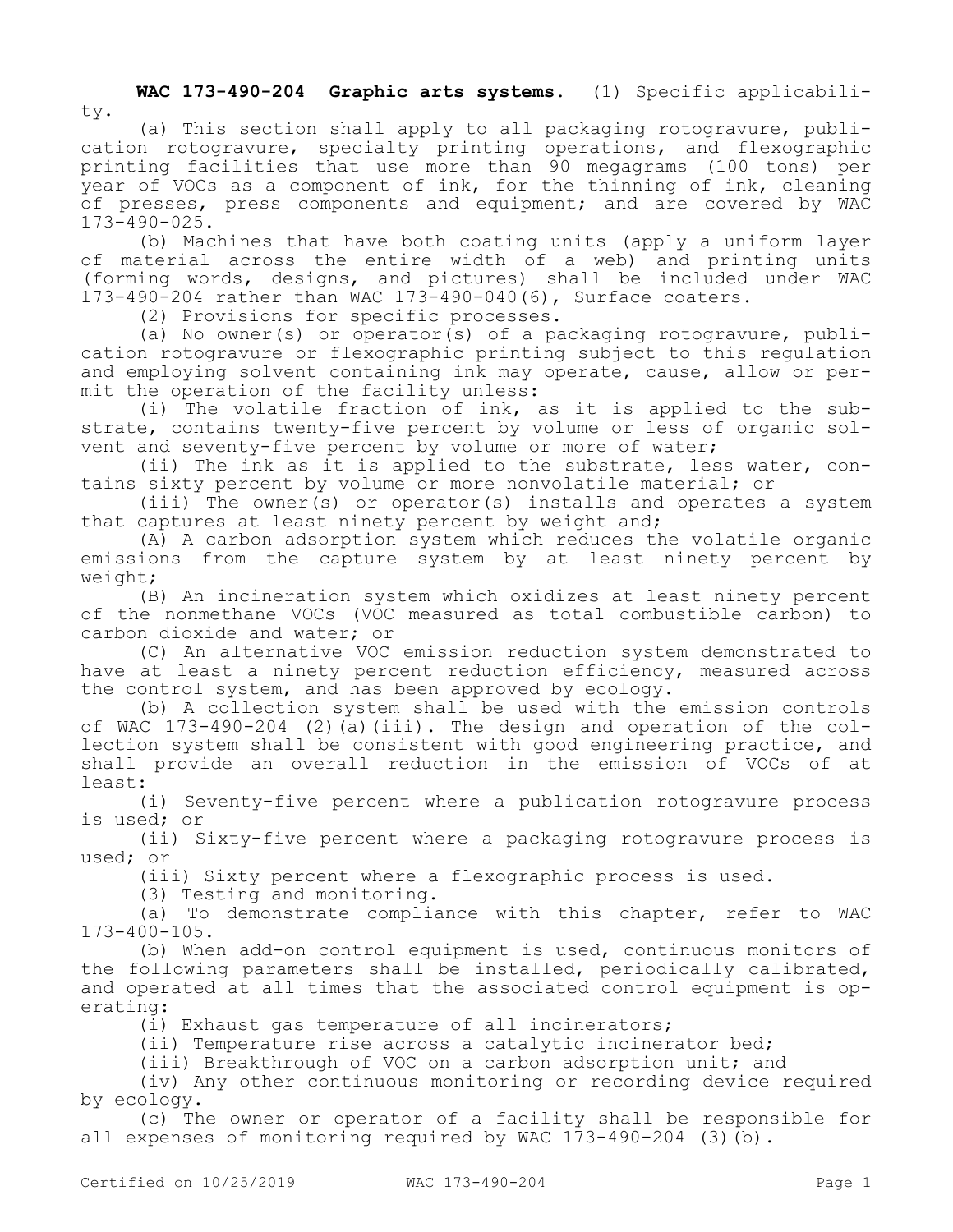**WAC 173-490-204 Graphic arts systems.** (1) Specific applicabili-

ty.

(a) This section shall apply to all packaging rotogravure, publication rotogravure, specialty printing operations, and flexographic printing facilities that use more than 90 megagrams (100 tons) per year of VOCs as a component of ink, for the thinning of ink, cleaning of presses, press components and equipment; and are covered by WAC 173-490-025.

(b) Machines that have both coating units (apply a uniform layer of material across the entire width of a web) and printing units (forming words, designs, and pictures) shall be included under WAC 173-490-204 rather than WAC 173-490-040(6), Surface coaters.

(2) Provisions for specific processes.

(a) No owner(s) or operator(s) of a packaging rotogravure, publication rotogravure or flexographic printing subject to this regulation and employing solvent containing ink may operate, cause, allow or permit the operation of the facility unless:

(i) The volatile fraction of ink, as it is applied to the substrate, contains twenty-five percent by volume or less of organic solvent and seventy-five percent by volume or more of water;

(ii) The ink as it is applied to the substrate, less water, contains sixty percent by volume or more nonvolatile material; or

(iii) The owner(s) or operator(s) installs and operates a system that captures at least ninety percent by weight and;

(A) A carbon adsorption system which reduces the volatile organic emissions from the capture system by at least ninety percent by weight;

(B) An incineration system which oxidizes at least ninety percent of the nonmethane VOCs (VOC measured as total combustible carbon) to carbon dioxide and water; or

(C) An alternative VOC emission reduction system demonstrated to have at least a ninety percent reduction efficiency, measured across the control system, and has been approved by ecology.

(b) A collection system shall be used with the emission controls of WAC 173-490-204 (2)(a)(iii). The design and operation of the collection system shall be consistent with good engineering practice, and shall provide an overall reduction in the emission of VOCs of at least:

(i) Seventy-five percent where a publication rotogravure process is used; or

(ii) Sixty-five percent where a packaging rotogravure process is used; or

(iii) Sixty percent where a flexographic process is used.

(3) Testing and monitoring.

(a) To demonstrate compliance with this chapter, refer to WAC 173-400-105.

(b) When add-on control equipment is used, continuous monitors of the following parameters shall be installed, periodically calibrated, and operated at all times that the associated control equipment is operating:

(i) Exhaust gas temperature of all incinerators;

(ii) Temperature rise across a catalytic incinerator bed;

(iii) Breakthrough of VOC on a carbon adsorption unit; and

(iv) Any other continuous monitoring or recording device required by ecology.

(c) The owner or operator of a facility shall be responsible for all expenses of monitoring required by WAC 173-490-204 (3)(b).